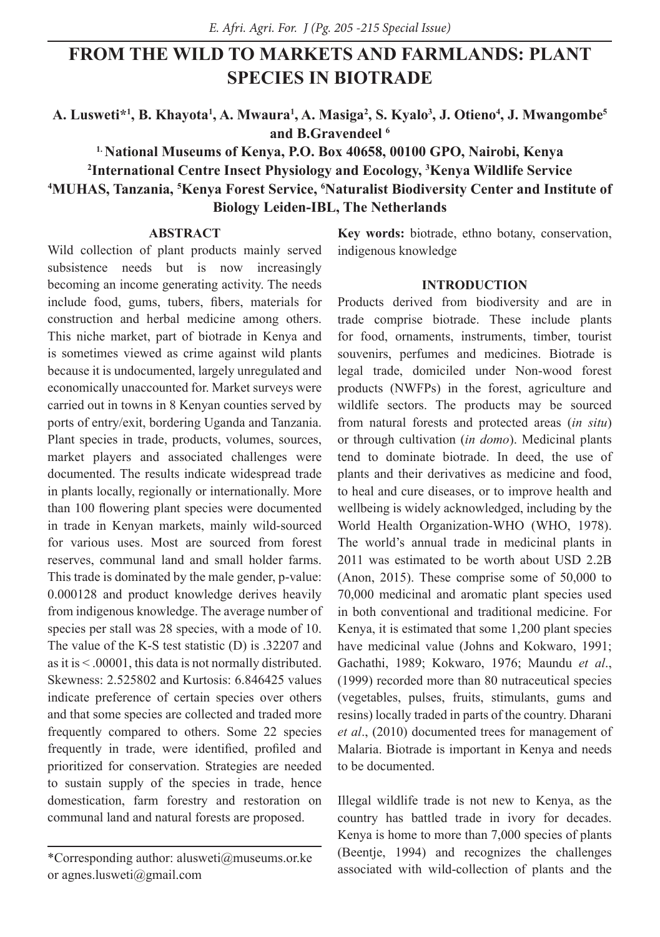# **FROM THE WILD TO MARKETS AND FARMLANDS: PLANT SPECIES IN BIOTRADE**

**A. Lusweti\*1 , B. Khayota1 , A. Mwaura1 , A. Masiga2 , S. Kyalo3 , J. Otieno4 , J. Mwangombe5 and B.Gravendeel 6**

**1. National Museums of Kenya, P.O. Box 40658, 00100 GPO, Nairobi, Kenya 2 International Centre Insect Physiology and Eocology, 3 Kenya Wildlife Service 4 MUHAS, Tanzania, 5 Kenya Forest Service, 6 Naturalist Biodiversity Center and Institute of Biology Leiden-IBL, The Netherlands**

# **ABSTRACT**

Wild collection of plant products mainly served subsistence needs but is now increasingly becoming an income generating activity. The needs include food, gums, tubers, fibers, materials for construction and herbal medicine among others. This niche market, part of biotrade in Kenya and is sometimes viewed as crime against wild plants because it is undocumented, largely unregulated and economically unaccounted for. Market surveys were carried out in towns in 8 Kenyan counties served by ports of entry/exit, bordering Uganda and Tanzania. Plant species in trade, products, volumes, sources, market players and associated challenges were documented. The results indicate widespread trade in plants locally, regionally or internationally. More than 100 flowering plant species were documented in trade in Kenyan markets, mainly wild-sourced for various uses. Most are sourced from forest reserves, communal land and small holder farms. This trade is dominated by the male gender, p-value: 0.000128 and product knowledge derives heavily from indigenous knowledge. The average number of species per stall was 28 species, with a mode of 10. The value of the K-S test statistic (D) is .32207 and as it is < .00001, this data is not normally distributed. Skewness: 2.525802 and Kurtosis: 6.846425 values indicate preference of certain species over others and that some species are collected and traded more frequently compared to others. Some 22 species frequently in trade, were identified, profiled and prioritized for conservation. Strategies are needed to sustain supply of the species in trade, hence domestication, farm forestry and restoration on communal land and natural forests are proposed.

**Key words:** biotrade, ethno botany, conservation, indigenous knowledge

### **INTRODUCTION**

Products derived from biodiversity and are in trade comprise biotrade. These include plants for food, ornaments, instruments, timber, tourist souvenirs, perfumes and medicines. Biotrade is legal trade, domiciled under Non-wood forest products (NWFPs) in the forest, agriculture and wildlife sectors. The products may be sourced from natural forests and protected areas (*in situ*) or through cultivation (*in domo*). Medicinal plants tend to dominate biotrade. In deed, the use of plants and their derivatives as medicine and food, to heal and cure diseases, or to improve health and wellbeing is widely acknowledged, including by the World Health Organization-WHO (WHO, 1978). The world's annual trade in medicinal plants in 2011 was estimated to be worth about USD 2.2B (Anon, 2015). These comprise some of 50,000 to 70,000 medicinal and aromatic plant species used in both conventional and traditional medicine. For Kenya, it is estimated that some 1,200 plant species have medicinal value (Johns and Kokwaro, 1991; Gachathi, 1989; Kokwaro, 1976; Maundu *et al*., (1999) recorded more than 80 nutraceutical species (vegetables, pulses, fruits, stimulants, gums and resins) locally traded in parts of the country. Dharani *et al*., (2010) documented trees for management of Malaria. Biotrade is important in Kenya and needs to be documented.

Illegal wildlife trade is not new to Kenya, as the country has battled trade in ivory for decades. Kenya is home to more than 7,000 species of plants (Beentje, 1994) and recognizes the challenges associated with wild-collection of plants and the

<sup>\*</sup>Corresponding author: alusweti@museums.or.ke or agnes.lusweti@gmail.com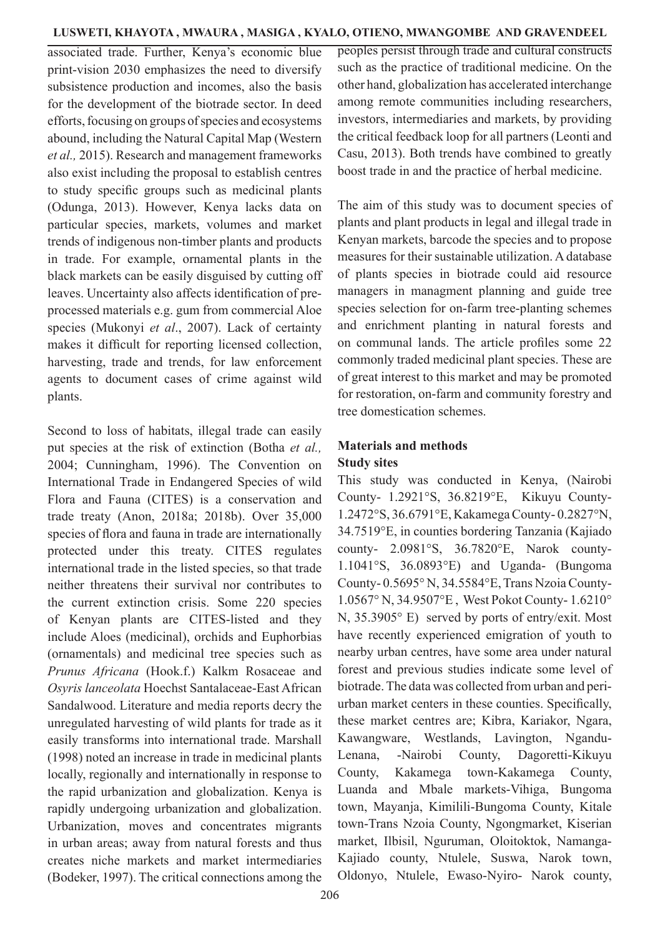associated trade. Further, Kenya's economic blue print-vision 2030 emphasizes the need to diversify subsistence production and incomes, also the basis for the development of the biotrade sector. In deed efforts, focusing on groups of species and ecosystems abound, including the Natural Capital Map (Western *et al.,* 2015). Research and management frameworks also exist including the proposal to establish centres to study specific groups such as medicinal plants (Odunga, 2013). However, Kenya lacks data on particular species, markets, volumes and market trends of indigenous non-timber plants and products in trade. For example, ornamental plants in the black markets can be easily disguised by cutting off leaves. Uncertainty also affects identification of preprocessed materials e.g. gum from commercial Aloe species (Mukonyi *et al*., 2007). Lack of certainty makes it difficult for reporting licensed collection, harvesting, trade and trends, for law enforcement agents to document cases of crime against wild plants.

Second to loss of habitats, illegal trade can easily put species at the risk of extinction (Botha *et al.,* 2004; Cunningham, 1996). The Convention on International Trade in Endangered Species of wild Flora and Fauna (CITES) is a conservation and trade treaty (Anon, 2018a; 2018b). Over 35,000 species of flora and fauna in trade are internationally protected under this treaty. CITES regulates international trade in the listed species, so that trade neither threatens their survival nor contributes to the current extinction crisis. Some 220 species of Kenyan plants are CITES-listed and they include Aloes (medicinal), orchids and Euphorbias (ornamentals) and medicinal tree species such as *Prunus Africana* (Hook.f.) Kalkm Rosaceae and *Osyris lanceolata* Hoechst Santalaceae-East African Sandalwood. Literature and media reports decry the unregulated harvesting of wild plants for trade as it easily transforms into international trade. Marshall (1998) noted an increase in trade in medicinal plants locally, regionally and internationally in response to the rapid urbanization and globalization. Kenya is rapidly undergoing urbanization and globalization. Urbanization, moves and concentrates migrants in urban areas; away from natural forests and thus creates niche markets and market intermediaries (Bodeker, 1997). The critical connections among the peoples persist through trade and cultural constructs such as the practice of traditional medicine. On the other hand, globalization has accelerated interchange among remote communities including researchers, investors, intermediaries and markets, by providing the critical feedback loop for all partners (Leonti and Casu, 2013). Both trends have combined to greatly boost trade in and the practice of herbal medicine.

The aim of this study was to document species of plants and plant products in legal and illegal trade in Kenyan markets, barcode the species and to propose measures for their sustainable utilization. A database of plants species in biotrade could aid resource managers in managment planning and guide tree species selection for on-farm tree-planting schemes and enrichment planting in natural forests and on communal lands. The article profiles some 22 commonly traded medicinal plant species. These are of great interest to this market and may be promoted for restoration, on-farm and community forestry and tree domestication schemes.

# **Materials and methods Study sites**

This study was conducted in Kenya, (Nairobi County- 1.2921°S, 36.8219°E, Kikuyu County-1.2472°S, 36.6791°E, Kakamega County- 0.2827°N, 34.7519°E, in counties bordering Tanzania (Kajiado county- 2.0981°S, 36.7820°E, Narok county-1.1041°S, 36.0893°E) and Uganda- (Bungoma County- 0.5695° N, 34.5584°E, Trans Nzoia County-1.0567° N, 34.9507°E , West Pokot County- 1.6210° N, 35.3905° E) served by ports of entry/exit. Most have recently experienced emigration of youth to nearby urban centres, have some area under natural forest and previous studies indicate some level of biotrade. The data was collected from urban and periurban market centers in these counties. Specifically, these market centres are; Kibra, Kariakor, Ngara, Kawangware, Westlands, Lavington, Ngandu-Lenana, -Nairobi County, Dagoretti-Kikuyu County, Kakamega town-Kakamega County, Luanda and Mbale markets-Vihiga, Bungoma town, Mayanja, Kimilili-Bungoma County, Kitale town-Trans Nzoia County, Ngongmarket, Kiserian market, Ilbisil, Nguruman, Oloitoktok, Namanga-Kajiado county, Ntulele, Suswa, Narok town, Oldonyo, Ntulele, Ewaso-Nyiro- Narok county,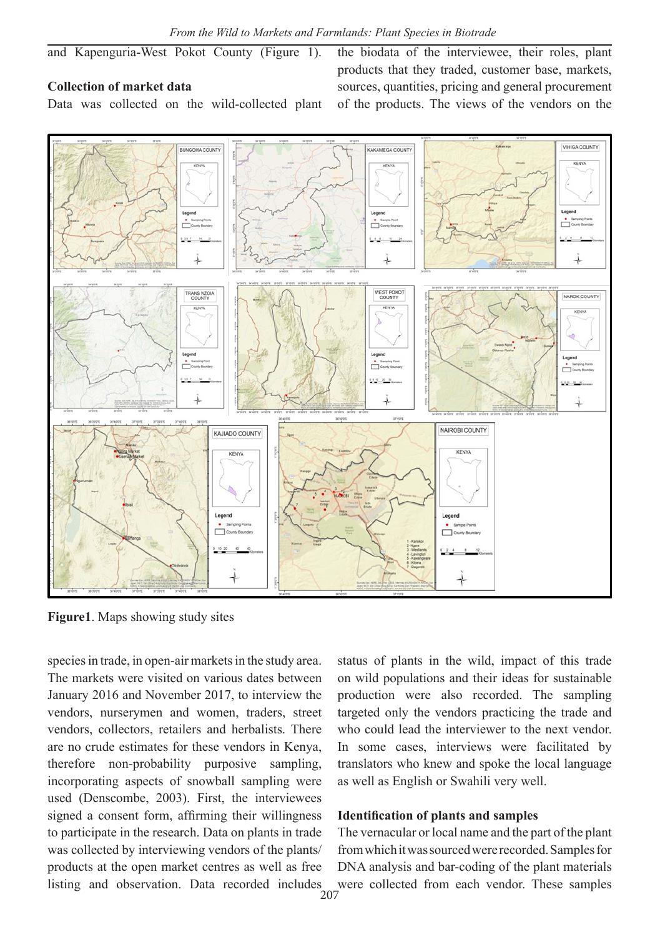and Kapenguria-West Pokot County (Figure 1).

# **Collection of market data**

Data was collected on the wild-collected plant

the biodata of the interviewee, their roles, plant products that they traded, customer base, markets, sources, quantities, pricing and general procurement of the products. The views of the vendors on the



**Figure1**. Maps showing study sites

species in trade, in open-air markets in the study area. The markets were visited on various dates between January 2016 and November 2017, to interview the vendors, nurserymen and women, traders, street vendors, collectors, retailers and herbalists. There are no crude estimates for these vendors in Kenya, therefore non-probability purposive sampling, incorporating aspects of snowball sampling were used (Denscombe, 2003). First, the interviewees signed a consent form, affirming their willingness to participate in the research. Data on plants in trade was collected by interviewing vendors of the plants/ products at the open market centres as well as free listing and observation. Data recorded includes

status of plants in the wild, impact of this trade on wild populations and their ideas for sustainable production were also recorded. The sampling targeted only the vendors practicing the trade and who could lead the interviewer to the next vendor. In some cases, interviews were facilitated by translators who knew and spoke the local language as well as English or Swahili very well.

#### **Identification of plants and samples**

The vernacular or local name and the part of the plant from which it was sourced were recorded. Samples for DNA analysis and bar-coding of the plant materials were collected from each vendor. These samples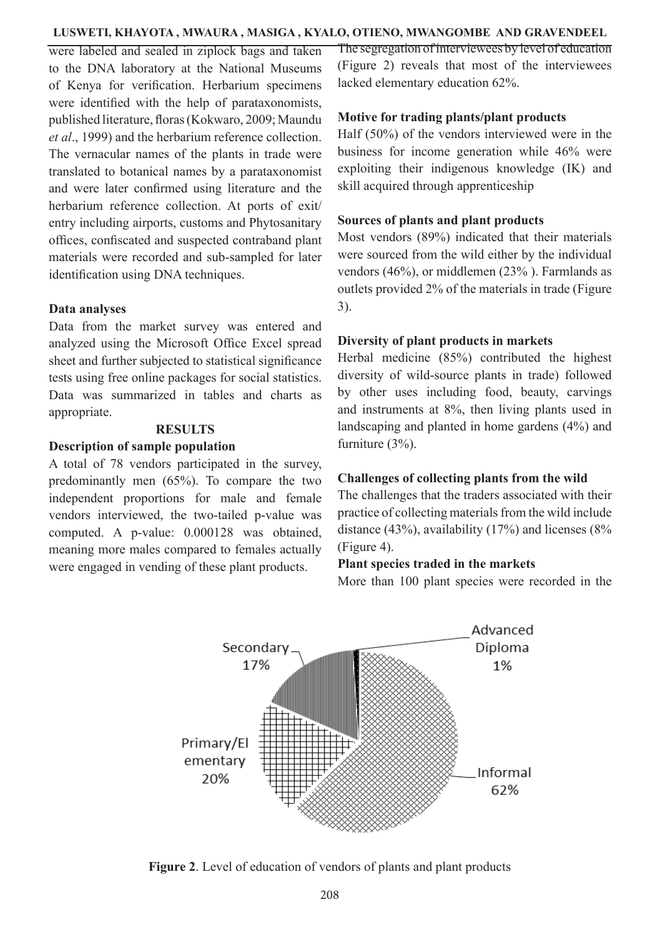were labeled and sealed in ziplock bags and taken to the DNA laboratory at the National Museums of Kenya for verification. Herbarium specimens were identified with the help of parataxonomists, published literature, floras (Kokwaro, 2009; Maundu *et al*., 1999) and the herbarium reference collection. The vernacular names of the plants in trade were translated to botanical names by a parataxonomist and were later confirmed using literature and the herbarium reference collection. At ports of exit/ entry including airports, customs and Phytosanitary offices, confiscated and suspected contraband plant materials were recorded and sub-sampled for later identification using DNA techniques.

#### **Data analyses**

Data from the market survey was entered and analyzed using the Microsoft Office Excel spread sheet and further subjected to statistical significance tests using free online packages for social statistics. Data was summarized in tables and charts as appropriate.

## **RESULTS**

#### **Description of sample population**

A total of 78 vendors participated in the survey, predominantly men (65%). To compare the two independent proportions for male and female vendors interviewed, the two-tailed p-value was computed. A p-value: 0.000128 was obtained, meaning more males compared to females actually were engaged in vending of these plant products.

The segregation of interviewees by level of education (Figure 2) reveals that most of the interviewees lacked elementary education 62%.

#### **Motive for trading plants/plant products**

Half (50%) of the vendors interviewed were in the business for income generation while 46% were exploiting their indigenous knowledge (IK) and skill acquired through apprenticeship

#### **Sources of plants and plant products**

Most vendors (89%) indicated that their materials were sourced from the wild either by the individual vendors (46%), or middlemen (23% ). Farmlands as outlets provided 2% of the materials in trade (Figure 3).

# **Diversity of plant products in markets**

Herbal medicine (85%) contributed the highest diversity of wild-source plants in trade) followed by other uses including food, beauty, carvings and instruments at 8%, then living plants used in landscaping and planted in home gardens (4%) and furniture (3%).

#### **Challenges of collecting plants from the wild**

The challenges that the traders associated with their practice of collecting materials from the wild include distance (43%), availability (17%) and licenses (8% (Figure 4).

#### **Plant species traded in the markets**

More than 100 plant species were recorded in the



Figure 2. Level of education of vendors of plants and plant products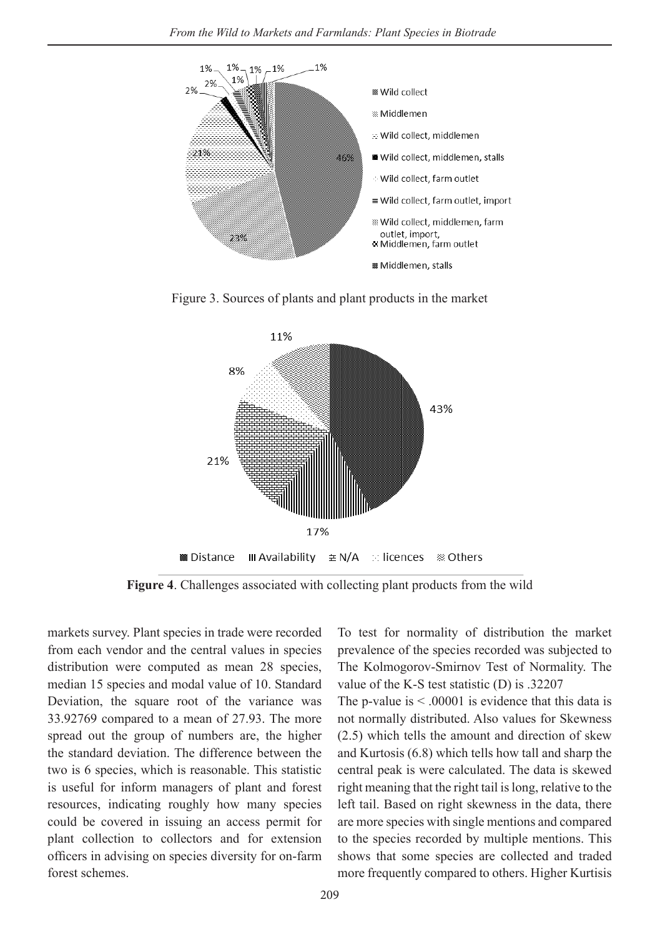

Figure 3. Sources of plants and plant products in the market



**Figure 4**. Challenges associated with collecting plant products from the wild

markets survey. Plant species in trade were recorded from each vendor and the central values in species distribution were computed as mean 28 species, median 15 species and modal value of 10. Standard Deviation, the square root of the variance was 33.92769 compared to a mean of 27.93. The more spread out the group of numbers are, the higher the standard deviation. The difference between the two is 6 species, which is reasonable. This statistic is useful for inform managers of plant and forest resources, indicating roughly how many species could be covered in issuing an access permit for plant collection to collectors and for extension officers in advising on species diversity for on-farm forest schemes.

To test for normality of distribution the market prevalence of the species recorded was subjected to The Kolmogorov-Smirnov Test of Normality. The value of the K-S test statistic (D) is .32207

The p-value is  $\leq 0.00001$  is evidence that this data is not normally distributed. Also values for Skewness (2.5) which tells the amount and direction of skew and Kurtosis (6.8) which tells how tall and sharp the central peak is were calculated. The data is skewed right meaning that the right tail is long, relative to the left tail. Based on right skewness in the data, there are more species with single mentions and compared to the species recorded by multiple mentions. This shows that some species are collected and traded more frequently compared to others. Higher Kurtisis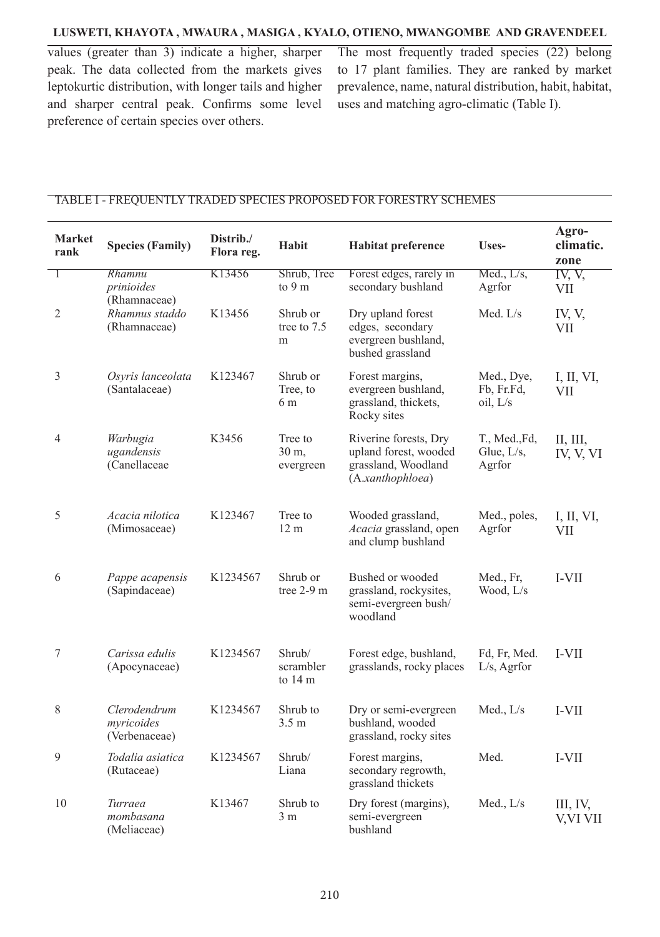values (greater than 3) indicate a higher, sharper peak. The data collected from the markets gives leptokurtic distribution, with longer tails and higher and sharper central peak. Confirms some level preference of certain species over others.

The most frequently traded species (22) belong to 17 plant families. They are ranked by market prevalence, name, natural distribution, habit, habitat, uses and matching agro-climatic (Table I).

#### TABLE I - FREQUENTLY TRADED SPECIES PROPOSED FOR FORESTRY SCHEMES

| <b>Market</b><br>rank | <b>Species (Family)</b>                     | Distrib./<br>Flora reg. | Habit                                    | <b>Habitat preference</b>                                                                 | Uses-                                    | Agro-<br>climatic.<br>zone |
|-----------------------|---------------------------------------------|-------------------------|------------------------------------------|-------------------------------------------------------------------------------------------|------------------------------------------|----------------------------|
| 1                     | Rhamnu<br>prinioides<br>(Rhamnaceae)        | K13456                  | Shrub, Tree<br>to 9 m                    | Forest edges, rarely in<br>secondary bushland                                             | Med., L/s,<br>Agrfor                     | IV, V,<br><b>VII</b>       |
| $\overline{2}$        | Rhamnus staddo<br>(Rhamnaceae)              | K13456                  | Shrub or<br>tree to 7.5<br>m             | Dry upland forest<br>edges, secondary<br>evergreen bushland,<br>bushed grassland          | Med. $L/s$                               | IV, V,<br>VII              |
| $\mathfrak{Z}$        | Osyris lanceolata<br>(Santalaceae)          | K123467                 | Shrub or<br>Tree, to<br>6 m              | Forest margins,<br>evergreen bushland,<br>grassland, thickets,<br>Rocky sites             | Med., Dye,<br>Fb, Fr.Fd,<br>oil, L/s     | I, II, VI,<br>VII          |
| $\overline{4}$        | Warbugia<br>ugandensis<br>(Canellaceae      | K3456                   | Tree to<br>30 m,<br>evergreen            | Riverine forests, Dry<br>upland forest, wooded<br>grassland, Woodland<br>(A.xanthophloea) | T., Med., Fd,<br>Glue, $L/s$ ,<br>Agrfor | Н, Ш,<br>IV, V, VI         |
| 5                     | Acacia nilotica<br>(Mimosaceae)             | K123467                 | Tree to<br>12 <sub>m</sub>               | Wooded grassland,<br>Acacia grassland, open<br>and clump bushland                         | Med., poles,<br>Agrfor                   | I, II, VI,<br><b>VII</b>   |
| 6                     | Pappe acapensis<br>(Sapindaceae)            | K1234567                | Shrub or<br>tree $2-9$ m                 | Bushed or wooded<br>grassland, rockysites,<br>semi-evergreen bush/<br>woodland            | Med., Fr,<br>Wood, L/s                   | I-VII                      |
| $\boldsymbol{7}$      | Carissa edulis<br>(Apocynaceae)             | K1234567                | Shrub/<br>scrambler<br>to $14 \text{ m}$ | Forest edge, bushland,<br>grasslands, rocky places                                        | Fd, Fr, Med.<br>$L/s$ , Agrfor           | I-VII                      |
| 8                     | Clerodendrum<br>myricoides<br>(Verbenaceae) | K1234567                | Shrub to<br>3.5 <sub>m</sub>             | Dry or semi-evergreen<br>bushland, wooded<br>grassland, rocky sites                       | Med., L/s                                | I-VII                      |
| $\overline{9}$        | Todalia asiatica<br>(Rutaceae)              | K1234567                | Shrub/<br>Liana                          | Forest margins,<br>secondary regrowth,<br>grassland thickets                              | Med.                                     | I-VII                      |
| 10                    | Turraea<br>mombasana<br>(Meliaceae)         | K13467                  | Shrub to<br>3 <sub>m</sub>               | Dry forest (margins),<br>semi-evergreen<br>bushland                                       | Med., $L/s$                              | III, IV,<br>V,VI VII       |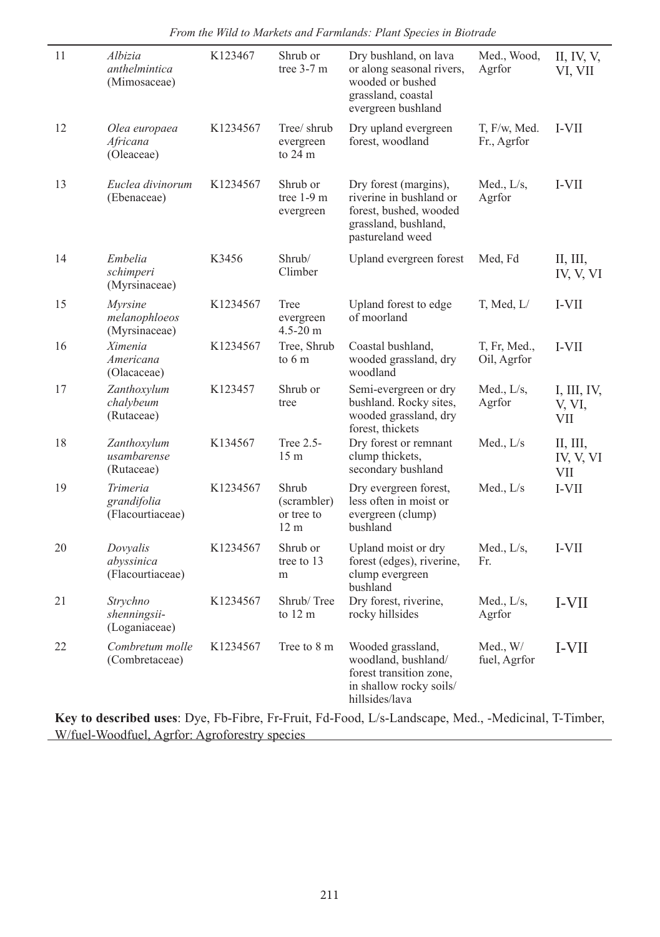| 11 | Albizia<br>anthelmintica<br>(Mimosaceae)    | K123467              | Shrub or<br>tree $3-7$ m                              | Dry bushland, on lava<br>or along seasonal rivers,<br>wooded or bushed<br>grassland, coastal<br>evergreen bushland     | Med., Wood,<br>Agrfor             | II, IV, V,<br>VI, VII               |
|----|---------------------------------------------|----------------------|-------------------------------------------------------|------------------------------------------------------------------------------------------------------------------------|-----------------------------------|-------------------------------------|
| 12 | Olea europaea<br>Africana<br>(Oleaceae)     | K <sub>1234567</sub> | Tree/ shrub<br>evergreen<br>to 24 m                   | Dry upland evergreen<br>forest, woodland                                                                               | $T$ , $F/w$ , Med.<br>Fr., Agrfor | I-VII                               |
| 13 | Euclea divinorum<br>(Ebenaceae)             | K1234567             | Shrub or<br>tree $1-9$ m<br>evergreen                 | Dry forest (margins),<br>riverine in bushland or<br>forest, bushed, wooded<br>grassland, bushland,<br>pastureland weed | Med., $L/s$ ,<br>Agrfor           | I-VII                               |
| 14 | Embelia<br>schimperi<br>(Myrsinaceae)       | K3456                | Shrub/<br>Climber                                     | Upland evergreen forest                                                                                                | Med, Fd                           | Н, Ш,<br>IV, V, VI                  |
| 15 | Myrsine<br>melanophloeos<br>(Myrsinaceae)   | K1234567             | Tree<br>evergreen<br>$4.5 - 20$ m                     | Upland forest to edge<br>of moorland                                                                                   | T, Med, $L/$                      | I-VII                               |
| 16 | Ximenia<br>Americana<br>(Olacaceae)         | K1234567             | Tree, Shrub<br>to 6 m                                 | Coastal bushland,<br>wooded grassland, dry<br>woodland                                                                 | T, Fr, Med.,<br>Oil, Agrfor       | I-VII                               |
| 17 | Zanthoxylum<br>chalybeum<br>(Rutaceae)      | K123457              | Shrub or<br>tree                                      | Semi-evergreen or dry<br>bushland. Rocky sites,<br>wooded grassland, dry<br>forest, thickets                           | Med., $L/s$ ,<br>Agrfor           | I, III, IV,<br>V, VI,<br><b>VII</b> |
| 18 | Zanthoxylum<br>usambarense<br>(Rutaceae)    | K134567              | Tree 2.5-<br>15 <sub>m</sub>                          | Dry forest or remnant<br>clump thickets,<br>secondary bushland                                                         | Med., $L/s$                       | Щ, Щ,<br>IV, V, VI<br><b>VII</b>    |
| 19 | Trimeria<br>grandifolia<br>(Flacourtiaceae) | K1234567             | Shrub<br>(scrambler)<br>or tree to<br>12 <sub>m</sub> | Dry evergreen forest,<br>less often in moist or<br>evergreen (clump)<br>bushland                                       | Med., $L/s$                       | I-VII                               |
| 20 | Dovyalis<br>abyssinica<br>(Flacourtiaceae)  | K1234567             | Shrub or<br>tree to 13<br>m                           | Upland moist or dry<br>forest (edges), riverine,<br>clump evergreen<br>bushland                                        | Med., $L/s$ ,<br>Fr.              | I-VII                               |
| 21 | Strychno<br>shenningsii-<br>(Loganiaceae)   | K1234567             | Shrub/Tree<br>to $12 \text{ m}$                       | Dry forest, riverine,<br>rocky hillsides                                                                               | Med., $L/s$ ,<br>Agrfor           | I-VII                               |
| 22 | Combretum molle<br>(Combretaceae)           | K1234567             | Tree to 8 m                                           | Wooded grassland,<br>woodland, bushland/<br>forest transition zone,<br>in shallow rocky soils/<br>hillsides/lava       | Med., W/<br>fuel, Agrfor          | I-VII                               |

*From the Wild to Markets and Farmlands: Plant Species in Biotrade*

**Key to described uses**: Dye, Fb-Fibre, Fr-Fruit, Fd-Food, L/s-Landscape, Med., -Medicinal, T-Timber, W/fuel-Woodfuel, Agrfor: Agroforestry species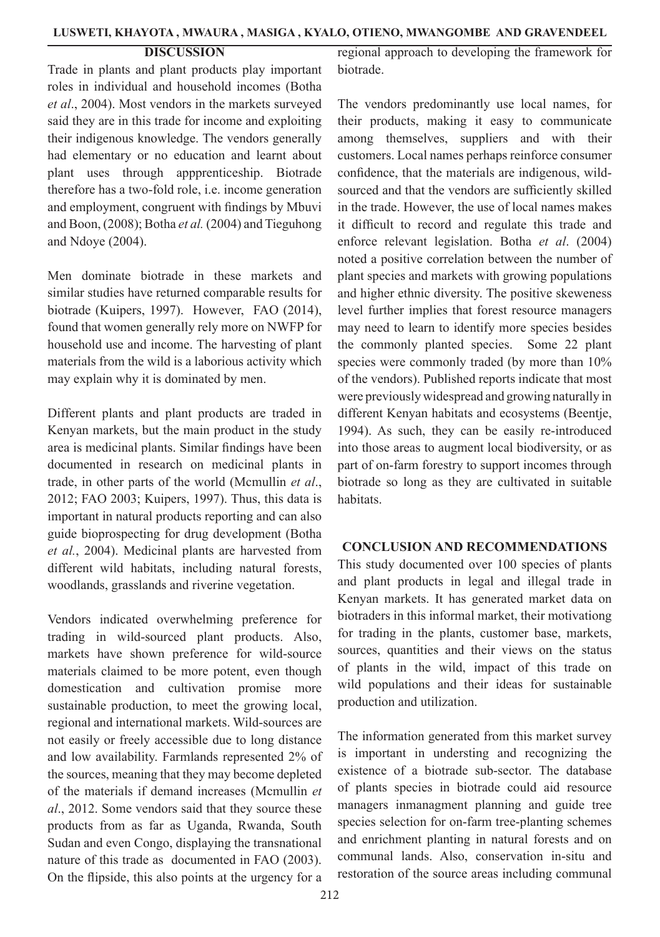## **DISCUSSION**

Trade in plants and plant products play important roles in individual and household incomes (Botha *et al*., 2004). Most vendors in the markets surveyed said they are in this trade for income and exploiting their indigenous knowledge. The vendors generally had elementary or no education and learnt about plant uses through appprenticeship. Biotrade therefore has a two-fold role, i.e. income generation and employment, congruent with findings by Mbuvi and Boon, (2008); Botha *et al.* (2004) and Tieguhong and Ndoye (2004).

Men dominate biotrade in these markets and similar studies have returned comparable results for biotrade (Kuipers, 1997). However, FAO (2014), found that women generally rely more on NWFP for household use and income. The harvesting of plant materials from the wild is a laborious activity which may explain why it is dominated by men.

Different plants and plant products are traded in Kenyan markets, but the main product in the study area is medicinal plants. Similar findings have been documented in research on medicinal plants in trade, in other parts of the world (Mcmullin *et al*., 2012; FAO 2003; Kuipers, 1997). Thus, this data is important in natural products reporting and can also guide bioprospecting for drug development (Botha *et al.*, 2004). Medicinal plants are harvested from different wild habitats, including natural forests, woodlands, grasslands and riverine vegetation.

Vendors indicated overwhelming preference for trading in wild-sourced plant products. Also, markets have shown preference for wild-source materials claimed to be more potent, even though domestication and cultivation promise more sustainable production, to meet the growing local, regional and international markets. Wild-sources are not easily or freely accessible due to long distance and low availability. Farmlands represented 2% of the sources, meaning that they may become depleted of the materials if demand increases (Mcmullin *et al*., 2012. Some vendors said that they source these products from as far as Uganda, Rwanda, South Sudan and even Congo, displaying the transnational nature of this trade as documented in FAO (2003). On the flipside, this also points at the urgency for a regional approach to developing the framework for biotrade.

The vendors predominantly use local names, for their products, making it easy to communicate among themselves, suppliers and with their customers. Local names perhaps reinforce consumer confidence, that the materials are indigenous, wildsourced and that the vendors are sufficiently skilled in the trade. However, the use of local names makes it difficult to record and regulate this trade and enforce relevant legislation. Botha *et al*. (2004) noted a positive correlation between the number of plant species and markets with growing populations and higher ethnic diversity. The positive skeweness level further implies that forest resource managers may need to learn to identify more species besides the commonly planted species. Some 22 plant species were commonly traded (by more than 10% of the vendors). Published reports indicate that most were previously widespread and growing naturally in different Kenyan habitats and ecosystems (Beentje, 1994). As such, they can be easily re-introduced into those areas to augment local biodiversity, or as part of on-farm forestry to support incomes through biotrade so long as they are cultivated in suitable **habitats** 

#### **CONCLUSION AND RECOMMENDATIONS**

This study documented over 100 species of plants and plant products in legal and illegal trade in Kenyan markets. It has generated market data on biotraders in this informal market, their motivationg for trading in the plants, customer base, markets, sources, quantities and their views on the status of plants in the wild, impact of this trade on wild populations and their ideas for sustainable production and utilization.

The information generated from this market survey is important in understing and recognizing the existence of a biotrade sub-sector. The database of plants species in biotrade could aid resource managers inmanagment planning and guide tree species selection for on-farm tree-planting schemes and enrichment planting in natural forests and on communal lands. Also, conservation in-situ and restoration of the source areas including communal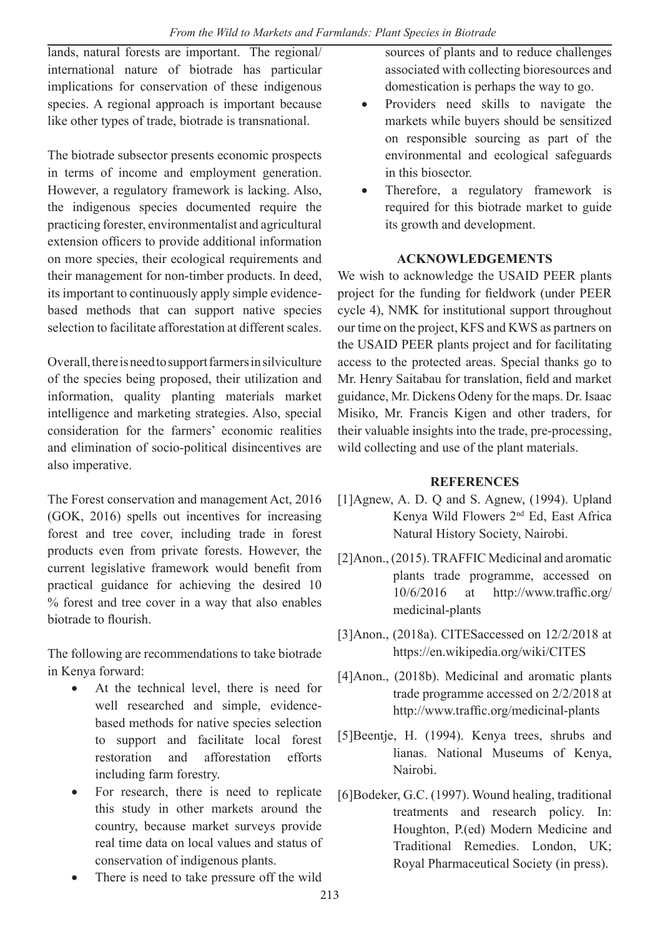lands, natural forests are important. The regional/ international nature of biotrade has particular implications for conservation of these indigenous species. A regional approach is important because like other types of trade, biotrade is transnational.

The biotrade subsector presents economic prospects in terms of income and employment generation. However, a regulatory framework is lacking. Also, the indigenous species documented require the practicing forester, environmentalist and agricultural extension officers to provide additional information on more species, their ecological requirements and their management for non-timber products. In deed, its important to continuously apply simple evidencebased methods that can support native species selection to facilitate afforestation at different scales.

Overall, there is need to support farmers in silviculture of the species being proposed, their utilization and information, quality planting materials market intelligence and marketing strategies. Also, special consideration for the farmers' economic realities and elimination of socio-political disincentives are also imperative.

The Forest conservation and management Act, 2016 (GOK, 2016) spells out incentives for increasing forest and tree cover, including trade in forest products even from private forests. However, the current legislative framework would benefit from practical guidance for achieving the desired 10 % forest and tree cover in a way that also enables biotrade to flourish.

The following are recommendations to take biotrade in Kenya forward:

- At the technical level, there is need for well researched and simple, evidencebased methods for native species selection to support and facilitate local forest restoration and afforestation efforts including farm forestry.
- For research, there is need to replicate this study in other markets around the country, because market surveys provide real time data on local values and status of conservation of indigenous plants.
- There is need to take pressure off the wild

sources of plants and to reduce challenges associated with collecting bioresources and domestication is perhaps the way to go.

- Providers need skills to navigate the markets while buyers should be sensitized on responsible sourcing as part of the environmental and ecological safeguards in this biosector.
- Therefore, a regulatory framework is required for this biotrade market to guide its growth and development.

# **ACKNOWLEDGEMENTS**

We wish to acknowledge the USAID PEER plants project for the funding for fieldwork (under PEER cycle 4), NMK for institutional support throughout our time on the project, KFS and KWS as partners on the USAID PEER plants project and for facilitating access to the protected areas. Special thanks go to Mr. Henry Saitabau for translation, field and market guidance, Mr. Dickens Odeny for the maps. Dr. Isaac Misiko, Mr. Francis Kigen and other traders, for their valuable insights into the trade, pre-processing, wild collecting and use of the plant materials.

# **REFERENCES**

- [1]Agnew, A. D. Q and S. Agnew, (1994). Upland Kenya Wild Flowers 2nd Ed, East Africa Natural History Society, Nairobi.
- [2]Anon., (2015). TRAFFIC Medicinal and aromatic plants trade programme, accessed on 10/6/2016 at http://www.traffic.org/ medicinal-plants
- [3]Anon., (2018a). CITESaccessed on 12/2/2018 at https://en.wikipedia.org/wiki/CITES
- [4]Anon., (2018b). Medicinal and aromatic plants trade programme accessed on 2/2/2018 at http://www.traffic.org/medicinal-plants
- [5]Beentje, H. (1994). Kenya trees, shrubs and lianas. National Museums of Kenya, Nairobi.
- [6]Bodeker, G.C. (1997). Wound healing, traditional treatments and research policy. In: Houghton, P.(ed) Modern Medicine and Traditional Remedies. London, UK; Royal Pharmaceutical Society (in press).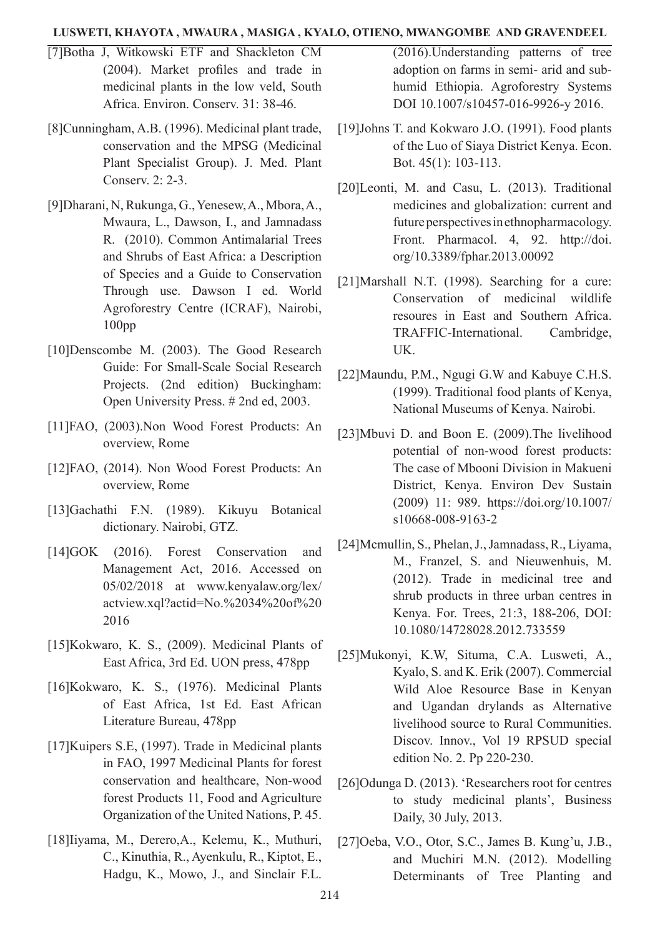- [7]Botha J, Witkowski ETF and Shackleton CM (2004). Market profiles and trade in medicinal plants in the low veld, South Africa. Environ. Conserv. 31: 38-46.
- [8]Cunningham, A.B. (1996). Medicinal plant trade, conservation and the MPSG (Medicinal Plant Specialist Group). J. Med. Plant Conserv. 2: 2-3.
- [9]Dharani, N, Rukunga, G., Yenesew, A., Mbora, A., Mwaura, L., Dawson, I., and Jamnadass R. (2010). Common Antimalarial Trees and Shrubs of East Africa: a Description of Species and a Guide to Conservation Through use. Dawson I ed. World Agroforestry Centre (ICRAF), Nairobi, 100pp
- [10]Denscombe M. (2003). The Good Research Guide: For Small-Scale Social Research Projects. (2nd edition) Buckingham: Open University Press. # 2nd ed, 2003.
- [11]FAO, (2003).Non Wood Forest Products: An overview, Rome
- [12]FAO, (2014). Non Wood Forest Products: An overview, Rome
- [13]Gachathi F.N. (1989). Kikuyu Botanical dictionary. Nairobi, GTZ.
- [14]GOK (2016). Forest Conservation and Management Act, 2016. Accessed on 05/02/2018 at www.kenyalaw.org/lex/ actview.xql?actid=No.%2034%20of%20 2016
- [15]Kokwaro, K. S., (2009). Medicinal Plants of East Africa, 3rd Ed. UON press, 478pp
- [16]Kokwaro, K. S., (1976). Medicinal Plants of East Africa, 1st Ed. East African Literature Bureau, 478pp
- [17]Kuipers S.E, (1997). Trade in Medicinal plants in FAO, 1997 Medicinal Plants for forest conservation and healthcare, Non-wood forest Products 11, Food and Agriculture Organization of the United Nations, P. 45.
- [18]Iiyama, M., Derero,A., Kelemu, K., Muthuri, C., Kinuthia, R., Ayenkulu, R., Kiptot, E., Hadgu, K., Mowo, J., and Sinclair F.L.

(2016).Understanding patterns of tree adoption on farms in semi- arid and subhumid Ethiopia. Agroforestry Systems DOI 10.1007/s10457-016-9926-y 2016.

- [19]Johns T. and Kokwaro J.O. (1991). Food plants of the Luo of Siaya District Kenya. Econ. Bot. 45(1): 103-113.
- [20]Leonti, M. and Casu, L. (2013). Traditional medicines and globalization: current and future perspectives in ethnopharmacology. Front. Pharmacol. 4, 92. http://doi. org/10.3389/fphar.2013.00092
- [21]Marshall N.T. (1998). Searching for a cure: Conservation of medicinal wildlife resoures in East and Southern Africa. TRAFFIC-International. Cambridge, UK.
- [22]Maundu, P.M., Ngugi G.W and Kabuye C.H.S. (1999). Traditional food plants of Kenya, National Museums of Kenya. Nairobi.
- [23]Mbuvi D. and Boon E. (2009).The livelihood potential of non-wood forest products: The case of Mbooni Division in Makueni District, Kenya. Environ Dev Sustain (2009) 11: 989. https://doi.org/10.1007/ s10668-008-9163-2
- [24]Mcmullin, S., Phelan, J., Jamnadass, R., Liyama, M., Franzel, S. and Nieuwenhuis, M. (2012). Trade in medicinal tree and shrub products in three urban centres in Kenya. For. Trees, 21:3, 188-206, DOI: 10.1080/14728028.2012.733559
- [25]Mukonyi, K.W, Situma, C.A. Lusweti, A., Kyalo, S. and K. Erik (2007). Commercial Wild Aloe Resource Base in Kenyan and Ugandan drylands as Alternative livelihood source to Rural Communities. Discov. Innov., Vol 19 RPSUD special edition No. 2. Pp 220-230.
- [26]Odunga D. (2013). 'Researchers root for centres to study medicinal plants', Business Daily, 30 July, 2013.
- [27]Oeba, V.O., Otor, S.C., James B. Kung'u, J.B., and Muchiri M.N. (2012). Modelling Determinants of Tree Planting and